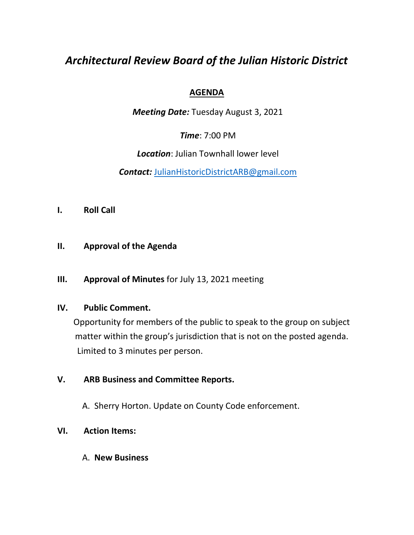# *Architectural Review Board of the Julian Historic District*

## **AGENDA**

*Meeting Date:* Tuesday August 3, 2021

*Time*: 7:00 PM

*Location*: Julian Townhall lower level

*Contact:* JulianHistoricDistrictARB@gmail.com

- **I. Roll Call**
- **II. Approval of the Agenda**
- **III. Approval of Minutes** for July 13, 2021 meeting

#### **IV. Public Comment.**

Opportunity for members of the public to speak to the group on subject matter within the group's jurisdiction that is not on the posted agenda. Limited to 3 minutes per person.

### **V. ARB Business and Committee Reports.**

A. Sherry Horton. Update on County Code enforcement.

#### **VI. Action Items:**

A. **New Business**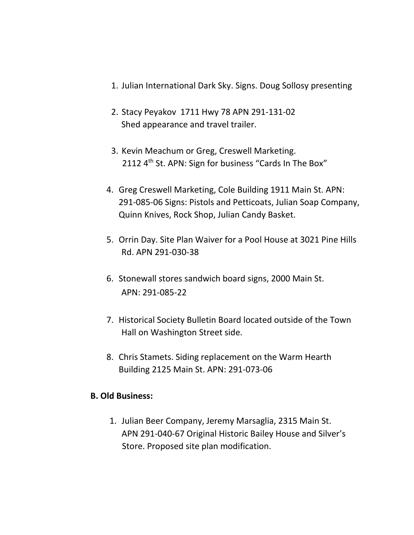- 1. Julian International Dark Sky. Signs. Doug Sollosy presenting
- 2. Stacy Peyakov 1711 Hwy 78 APN 291-131-02 Shed appearance and travel trailer.
- 3. Kevin Meachum or Greg, Creswell Marketing. 2112 4<sup>th</sup> St. APN: Sign for business "Cards In The Box"
- 4. Greg Creswell Marketing, Cole Building 1911 Main St. APN: 291-085-06 Signs: Pistols and Petticoats, Julian Soap Company, Quinn Knives, Rock Shop, Julian Candy Basket.
- 5. Orrin Day. Site Plan Waiver for a Pool House at 3021 Pine Hills Rd. APN 291-030-38
- 6. Stonewall stores sandwich board signs, 2000 Main St. APN: 291-085-22
- 7. Historical Society Bulletin Board located outside of the Town Hall on Washington Street side.
- 8. Chris Stamets. Siding replacement on the Warm Hearth Building 2125 Main St. APN: 291-073-06

### **B. Old Business:**

1. Julian Beer Company, Jeremy Marsaglia, 2315 Main St. APN 291-040-67 Original Historic Bailey House and Silver's Store. Proposed site plan modification.